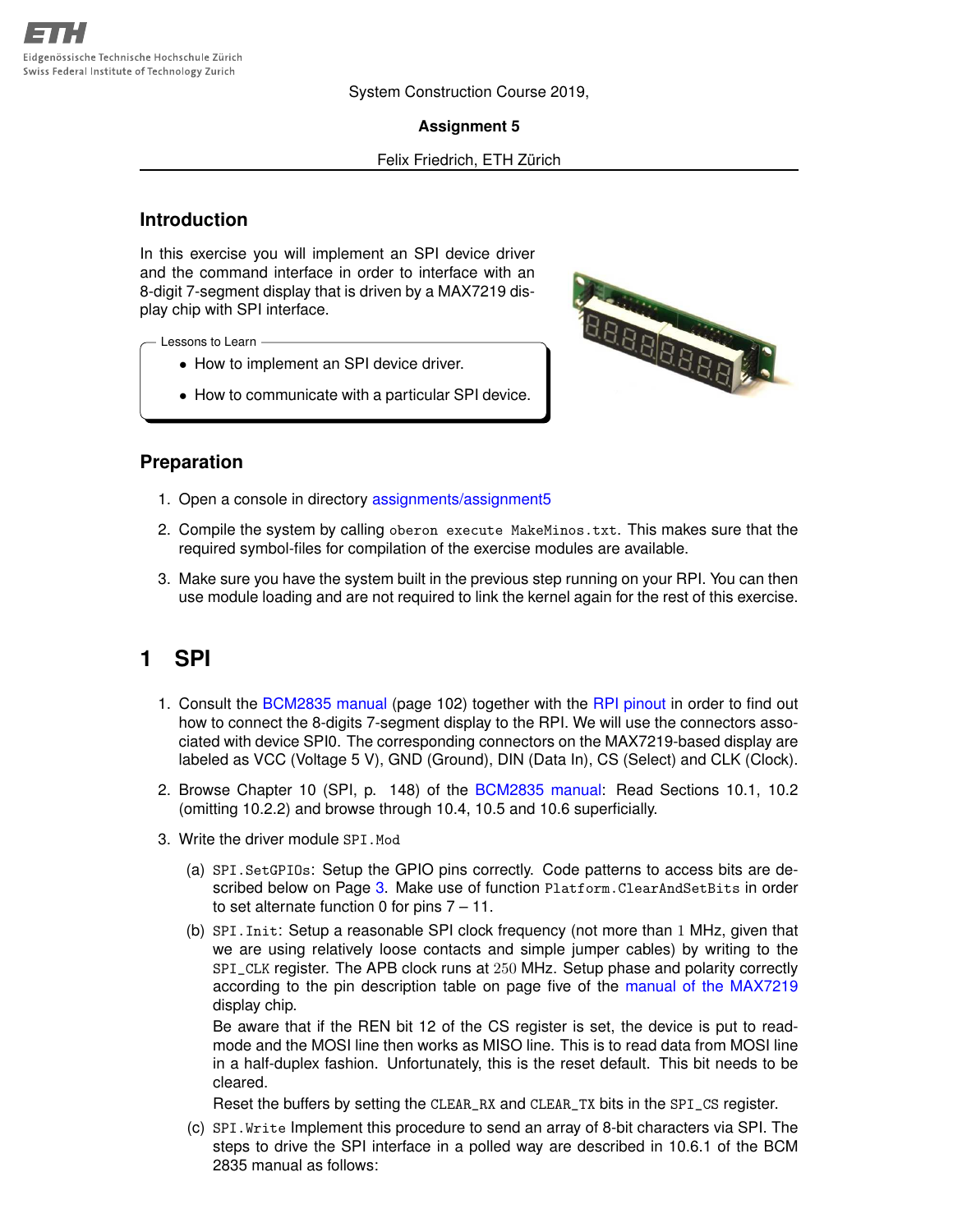System Construction Course 2019,

**Assignment 5**

#### Felix Friedrich, ETH Zürich

### **Introduction**

In this exercise you will implement an SPI device driver and the command interface in order to interface with an 8-digit 7-segment display that is driven by a MAX7219 display chip with SPI interface.

Lessons to Learn

- How to implement an SPI device driver.
- How to communicate with a particular SPI device.



### **Preparation**

- 1. Open a console in directory [assignments/assignment5](https://svn.inf.ethz.ch/svn/lecturers/vorlesungen/trunk/syscon/2019/shared/assignments/assignment05)
- 2. Compile the system by calling oberon execute MakeMinos.txt. This makes sure that the required symbol-files for compilation of the exercise modules are available.
- 3. Make sure you have the system built in the previous step running on your RPI. You can then use module loading and are not required to link the kernel again for the rest of this exercise.

## **1 SPI**

- 1. Consult the [BCM2835 manual](https://svn.inf.ethz.ch/svn/lecturers/vorlesungen/trunk/syscon/2019/shared/documents/rpi/BCM2835-ARM-Peripherals.pdf) (page 102) together with the [RPI pinout](https://svn.inf.ethz.ch/svn/lecturers/vorlesungen/trunk/syscon/2019/shared/documents/rpi/RP2_Pinout.png) in order to find out how to connect the 8-digits 7-segment display to the RPI. We will use the connectors associated with device SPI0. The corresponding connectors on the MAX7219-based display are labeled as VCC (Voltage 5 V), GND (Ground), DIN (Data In), CS (Select) and CLK (Clock).
- 2. Browse Chapter 10 (SPI, p. 148) of the [BCM2835 manual:](https://svn.inf.ethz.ch/svn/lecturers/vorlesungen/trunk/syscon/2019/shared/documents/rpi/BCM2835-ARM-Peripherals.pdf) Read Sections 10.1, 10.2 (omitting 10.2.2) and browse through 10.4, 10.5 and 10.6 superficially.
- 3. Write the driver module SPI.Mod
	- (a) SPI.SetGPIOs: Setup the GPIO pins correctly. Code patterns to access bits are de-scribed below on Page [3.](#page-2-0) Make use of function Platform. ClearAndSetBits in order to set alternate function 0 for pins 7 – 11.
	- (b) SPI.Init: Setup a reasonable SPI clock frequency (not more than 1 MHz, given that we are using relatively loose contacts and simple jumper cables) by writing to the SPI\_CLK register. The APB clock runs at 250 MHz. Setup phase and polarity correctly according to the pin description table on page five of the [manual of the MAX7219](https://svn.inf.ethz.ch/svn/lecturers/vorlesungen/trunk/syscon/2019/shared/documents/rpi/MAX7219-MAX7221.pdf) display chip.

Be aware that if the REN bit 12 of the CS register is set, the device is put to readmode and the MOSI line then works as MISO line. This is to read data from MOSI line in a half-duplex fashion. Unfortunately, this is the reset default. This bit needs to be cleared.

Reset the buffers by setting the CLEAR\_RX and CLEAR\_TX bits in the SPI\_CS register.

(c) SPI.Write Implement this procedure to send an array of 8-bit characters via SPI. The steps to drive the SPI interface in a polled way are described in 10.6.1 of the BCM 2835 manual as follows: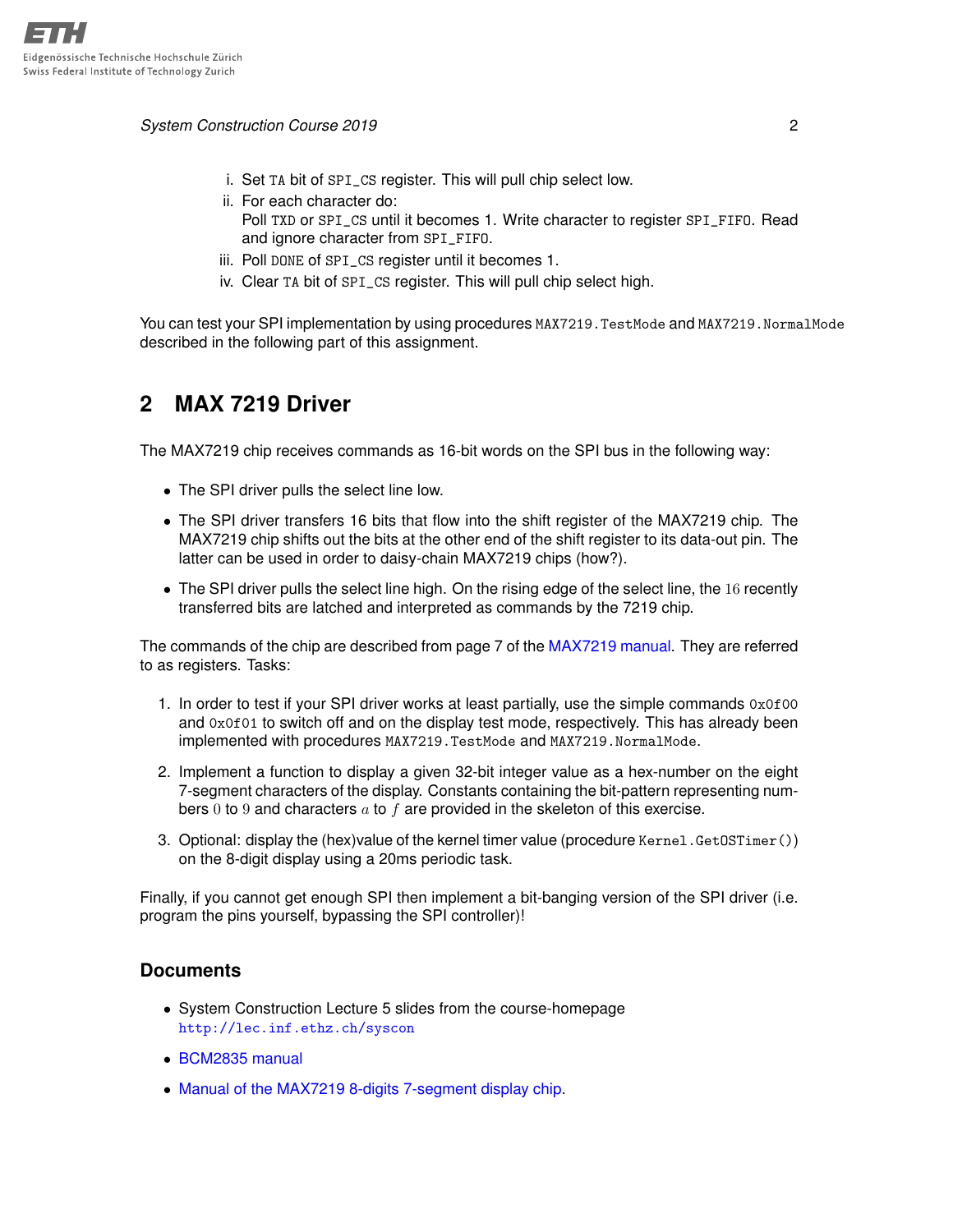*System Construction Course 2019* 2

- i. Set TA bit of SPI\_CS register. This will pull chip select low.
- ii. For each character do:
	- Poll TXD or SPI\_CS until it becomes 1. Write character to register SPI\_FIFO. Read and ignore character from SPI\_FIFO.
- iii. Poll DONE of SPI\_CS register until it becomes 1.
- iv. Clear TA bit of SPI\_CS register. This will pull chip select high.

You can test your SPI implementation by using procedures MAX7219. TestMode and MAX7219. NormalMode described in the following part of this assignment.

# **2 MAX 7219 Driver**

The MAX7219 chip receives commands as 16-bit words on the SPI bus in the following way:

- The SPI driver pulls the select line low.
- The SPI driver transfers 16 bits that flow into the shift register of the MAX7219 chip. The MAX7219 chip shifts out the bits at the other end of the shift register to its data-out pin. The latter can be used in order to daisy-chain MAX7219 chips (how?).
- The SPI driver pulls the select line high. On the rising edge of the select line, the 16 recently transferred bits are latched and interpreted as commands by the 7219 chip.

The commands of the chip are described from page 7 of the [MAX7219 manual.](https://svn.inf.ethz.ch/svn/lecturers/vorlesungen/trunk/syscon/2019/shared/documents/rpi/MAX7219-MAX7221.pdf) They are referred to as registers. Tasks:

- 1. In order to test if your SPI driver works at least partially, use the simple commands  $0x0f00$ and 0x0f01 to switch off and on the display test mode, respectively. This has already been implemented with procedures MAX7219.TestMode and MAX7219.NormalMode.
- 2. Implement a function to display a given 32-bit integer value as a hex-number on the eight 7-segment characters of the display. Constants containing the bit-pattern representing numbers 0 to 9 and characters  $a$  to  $f$  are provided in the skeleton of this exercise.
- 3. Optional: display the (hex)value of the kernel timer value (procedure Kernel.GetOSTimer()) on the 8-digit display using a 20ms periodic task.

Finally, if you cannot get enough SPI then implement a bit-banging version of the SPI driver (i.e. program the pins yourself, bypassing the SPI controller)!

### **Documents**

- System Construction Lecture 5 slides from the course-homepage <http://lec.inf.ethz.ch/syscon>
- [BCM2835 manual](https://svn.inf.ethz.ch/svn/lecturers/vorlesungen/trunk/syscon/2019/shared/documents/rpi/BCM2835-ARM-Peripherals.pdf)
- [Manual of the MAX7219 8-digits 7-segment display chip.](https://svn.inf.ethz.ch/svn/lecturers/vorlesungen/trunk/syscon/2019/shared/documents/rpi/MAX7219-MAX7221.pdf)